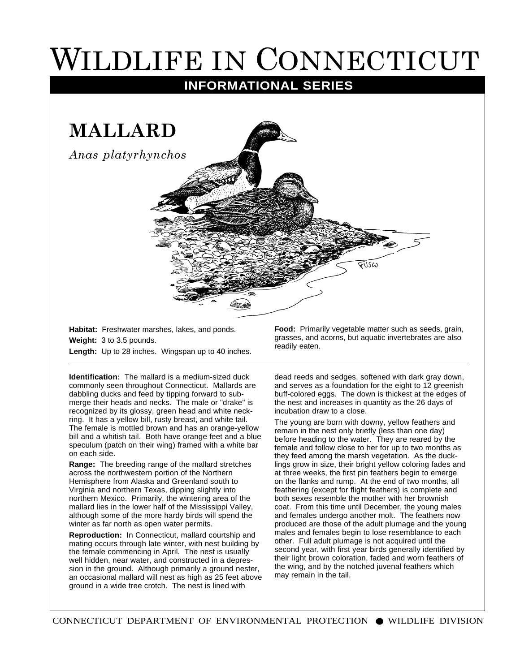## WILDLIFE IN CONNECTICUT

## **INFORMATIONAL SERIES**

**MALLARD**

*Anas platyrhynchos*

**Habitat:** Freshwater marshes, lakes, and ponds. **Weight:** 3 to 3.5 pounds. **Length:** Up to 28 inches. Wingspan up to 40 inches.

**Identification:** The mallard is a medium-sized duck commonly seen throughout Connecticut. Mallards are dabbling ducks and feed by tipping forward to submerge their heads and necks. The male or "drake" is recognized by its glossy, green head and white neckring. It has a yellow bill, rusty breast, and white tail. The female is mottled brown and has an orange-yellow bill and a whitish tail. Both have orange feet and a blue speculum (patch on their wing) framed with a white bar on each side.

**Range:** The breeding range of the mallard stretches across the northwestern portion of the Northern Hemisphere from Alaska and Greenland south to Virginia and northern Texas, dipping slightly into northern Mexico. Primarily, the wintering area of the mallard lies in the lower half of the Mississippi Valley, although some of the more hardy birds will spend the winter as far north as open water permits.

**Reproduction:** In Connecticut, mallard courtship and mating occurs through late winter, with nest building by the female commencing in April. The nest is usually well hidden, near water, and constructed in a depression in the ground. Although primarily a ground nester, an occasional mallard will nest as high as 25 feet above ground in a wide tree crotch. The nest is lined with

**Food:** Primarily vegetable matter such as seeds, grain, grasses, and acorns, but aquatic invertebrates are also readily eaten.

dead reeds and sedges, softened with dark gray down, and serves as a foundation for the eight to 12 greenish buff-colored eggs. The down is thickest at the edges of the nest and increases in quantity as the 26 days of incubation draw to a close.

The young are born with downy, yellow feathers and remain in the nest only briefly (less than one day) before heading to the water. They are reared by the female and follow close to her for up to two months as they feed among the marsh vegetation. As the ducklings grow in size, their bright yellow coloring fades and at three weeks, the first pin feathers begin to emerge on the flanks and rump. At the end of two months, all feathering (except for flight feathers) is complete and both sexes resemble the mother with her brownish coat. From this time until December, the young males and females undergo another molt. The feathers now produced are those of the adult plumage and the young males and females begin to lose resemblance to each other. Full adult plumage is not acquired until the second year, with first year birds generally identified by their light brown coloration, faded and worn feathers of the wing, and by the notched juvenal feathers which may remain in the tail.